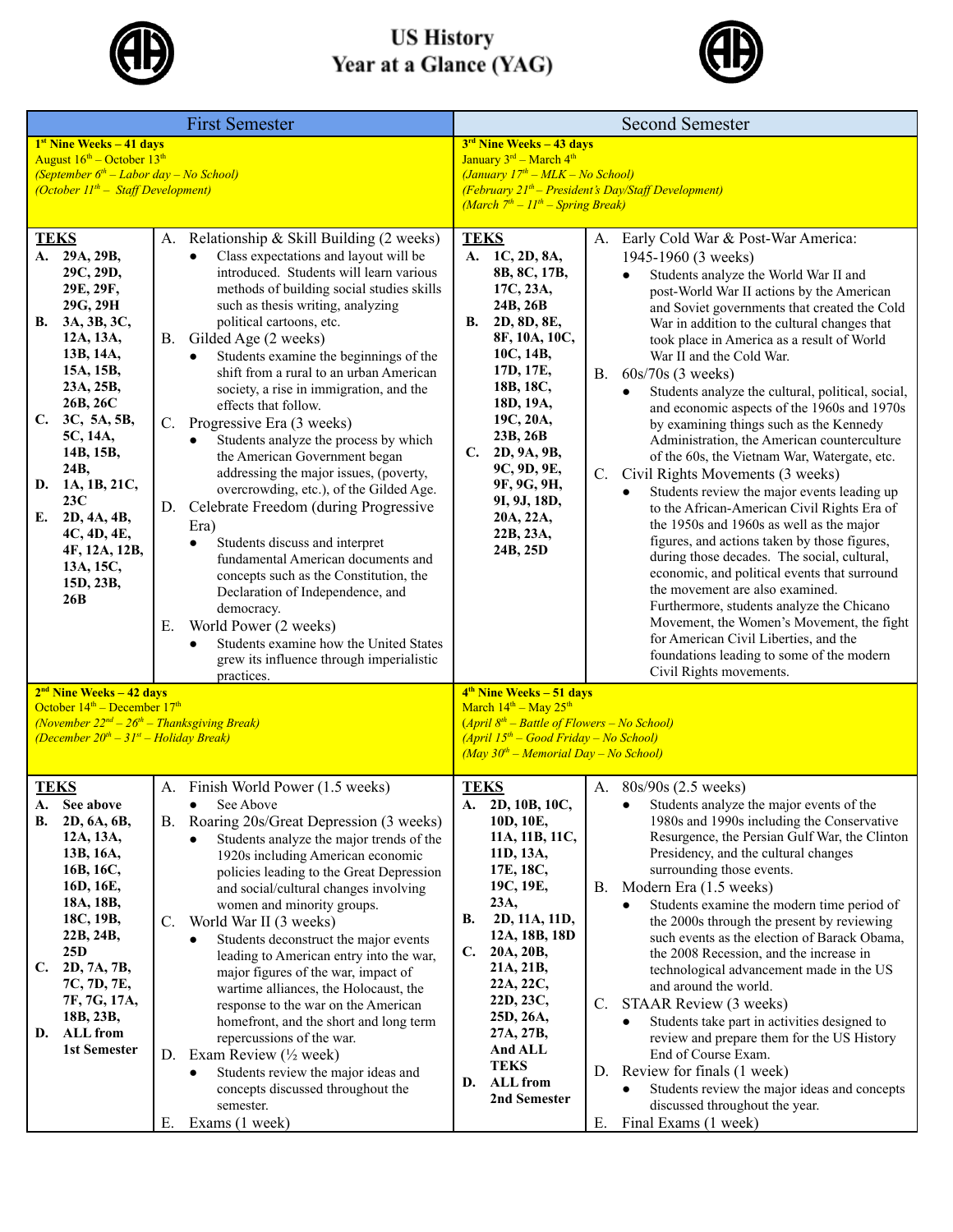

## **US History<br>Year at a Glance (YAG)**



|                                                                                                                                                                                                                                                                                                                                 | <b>First Semester</b>                                                                                                                                                                                                                                                                                                                                                                                                                                                                                                                                                                                                                                                                                                                                                                                                                                                                                                                                                                                                            | <b>Second Semester</b>                                                                                                                                                                                                                                                                                                                                                                                                                                                                                                                                                                                                                                                                                                                                                                                                                                                                                                                                                                                                                                                                                                                                                                                                                                                                                                                                                                                                                                                                         |  |  |
|---------------------------------------------------------------------------------------------------------------------------------------------------------------------------------------------------------------------------------------------------------------------------------------------------------------------------------|----------------------------------------------------------------------------------------------------------------------------------------------------------------------------------------------------------------------------------------------------------------------------------------------------------------------------------------------------------------------------------------------------------------------------------------------------------------------------------------------------------------------------------------------------------------------------------------------------------------------------------------------------------------------------------------------------------------------------------------------------------------------------------------------------------------------------------------------------------------------------------------------------------------------------------------------------------------------------------------------------------------------------------|------------------------------------------------------------------------------------------------------------------------------------------------------------------------------------------------------------------------------------------------------------------------------------------------------------------------------------------------------------------------------------------------------------------------------------------------------------------------------------------------------------------------------------------------------------------------------------------------------------------------------------------------------------------------------------------------------------------------------------------------------------------------------------------------------------------------------------------------------------------------------------------------------------------------------------------------------------------------------------------------------------------------------------------------------------------------------------------------------------------------------------------------------------------------------------------------------------------------------------------------------------------------------------------------------------------------------------------------------------------------------------------------------------------------------------------------------------------------------------------------|--|--|
| 1 <sup>st</sup> Nine Weeks - 41 days<br>August $16^{\text{th}}$ – October $13^{\text{th}}$<br>(September $6th$ – Labor day – No School)<br>$(October 11th – Staff Development)$                                                                                                                                                 |                                                                                                                                                                                                                                                                                                                                                                                                                                                                                                                                                                                                                                                                                                                                                                                                                                                                                                                                                                                                                                  | $3rd$ Nine Weeks - 43 days<br>January 3rd - March 4th<br>(January 17 <sup>th</sup> - MLK - No School)<br>(February 21 <sup>th</sup> – President's Day/Staff Development)<br>(March $7th - 11th -$ Spring Break)                                                                                                                                                                                                                                                                                                                                                                                                                                                                                                                                                                                                                                                                                                                                                                                                                                                                                                                                                                                                                                                                                                                                                                                                                                                                                |  |  |
| <b>TEKS</b><br>A. 29A, 29B,<br>29C, 29D,<br>29E, 29F,<br>29G, 29H<br>3A, 3B, 3C,<br>В.<br>12A, 13A,<br>13B, 14A,<br>15A, 15B,<br>23A, 25B,<br>26B, 26C<br>C.<br>3C, 5A, 5B,<br>5C, 14A,<br>14B, 15B,<br>24B,<br>1A, 1B, 21C,<br>D.<br>23C<br>2D, 4A, 4B,<br>E.<br>4C, 4D, 4E,<br>4F, 12A, 12B,<br>13A, 15C,<br>15D, 23B,<br>26B | A. Relationship & Skill Building (2 weeks)<br>Class expectations and layout will be<br>introduced. Students will learn various<br>methods of building social studies skills<br>such as thesis writing, analyzing<br>political cartoons, etc.<br>B. Gilded Age (2 weeks)<br>Students examine the beginnings of the<br>$\bullet$<br>shift from a rural to an urban American<br>society, a rise in immigration, and the<br>effects that follow.<br>C. Progressive Era (3 weeks)<br>Students analyze the process by which<br>$\bullet$<br>the American Government began<br>addressing the major issues, (poverty,<br>overcrowding, etc.), of the Gilded Age.<br>D. Celebrate Freedom (during Progressive<br>Era)<br>Students discuss and interpret<br>$\bullet$<br>fundamental American documents and<br>concepts such as the Constitution, the<br>Declaration of Independence, and<br>democracy.<br>World Power (2 weeks)<br>Е.<br>Students examine how the United States<br>grew its influence through imperialistic<br>practices. | <b>TEKS</b><br>A. Early Cold War & Post-War America:<br>A. 1C, 2D, 8A,<br>1945-1960 (3 weeks)<br>8B, 8C, 17B,<br>Students analyze the World War II and<br>17C, 23A,<br>post-World War II actions by the American<br>24B, 26B<br>and Soviet governments that created the Cold<br>B. 2D, 8D, 8E,<br>War in addition to the cultural changes that<br>8F, 10A, 10C,<br>took place in America as a result of World<br>10C, 14B,<br>War II and the Cold War.<br>17D, 17E,<br>B. $60s/70s$ (3 weeks)<br>18B, 18C,<br>Students analyze the cultural, political, social,<br>18D, 19A,<br>and economic aspects of the 1960s and 1970s<br>19C, 20A,<br>by examining things such as the Kennedy<br>23B, 26B<br>Administration, the American counterculture<br>C. 2D, 9A, 9B,<br>of the 60s, the Vietnam War, Watergate, etc.<br>9C, 9D, 9E,<br>Civil Rights Movements (3 weeks)<br>$C_{\cdot}$<br>9F, 9G, 9H,<br>Students review the major events leading up<br>9I, 9J, 18D,<br>to the African-American Civil Rights Era of<br>20A, 22A,<br>the 1950s and 1960s as well as the major<br>22B, 23A,<br>figures, and actions taken by those figures,<br>24B, 25D<br>during those decades. The social, cultural,<br>economic, and political events that surround<br>the movement are also examined.<br>Furthermore, students analyze the Chicano<br>Movement, the Women's Movement, the fight<br>for American Civil Liberties, and the<br>foundations leading to some of the modern<br>Civil Rights movements. |  |  |
| $2nd$ Nine Weeks – 42 days<br>October $14th$ – December $17th$<br>(November $22^{nd} - 26^{th} - Thanksgiving$ Break)<br>(December $20^{th} - 31^{st} -$ Holiday Break)                                                                                                                                                         |                                                                                                                                                                                                                                                                                                                                                                                                                                                                                                                                                                                                                                                                                                                                                                                                                                                                                                                                                                                                                                  | $4th$ Nine Weeks – 51 days<br>March $14th - May 25th$<br>$(April 8th - Battle of Flowers - No School)$<br>$(April 15th - Good Friday - No School)$<br>$(May 30th - Memorial Day - No School)$                                                                                                                                                                                                                                                                                                                                                                                                                                                                                                                                                                                                                                                                                                                                                                                                                                                                                                                                                                                                                                                                                                                                                                                                                                                                                                  |  |  |
| TEKS<br>See above<br>В.<br>2D, 6A, 6B,<br>12A, 13A,<br>13B, 16A,<br>16B, 16C,<br>16D, 16E,<br>18A, 18B,<br>18C, 19B,<br>22B, 24B,<br>25 <sub>D</sub><br>C.<br>2D, 7A, 7B,<br>7C, 7D, 7E,<br>7F, 7G, 17A,<br>18B, 23B,<br><b>ALL</b> from<br>D.<br>1st Semester                                                                  | A. Finish World Power (1.5 weeks)<br>$\bullet$ See Above<br>B. Roaring 20s/Great Depression (3 weeks)<br>Students analyze the major trends of the<br>1920s including American economic<br>policies leading to the Great Depression<br>and social/cultural changes involving<br>women and minority groups.<br>World War II (3 weeks)<br>C.<br>Students deconstruct the major events<br>leading to American entry into the war,<br>major figures of the war, impact of<br>wartime alliances, the Holocaust, the<br>response to the war on the American<br>homefront, and the short and long term<br>repercussions of the war.<br>D. Exam Review $(\frac{1}{2}$ week)<br>Students review the major ideas and<br>concepts discussed throughout the<br>semester.<br>Exams (1 week)<br>Е.                                                                                                                                                                                                                                              | A. 80s/90s (2.5 weeks)<br><b>TEKS</b><br>2D, 10B, 10C,<br>• Students analyze the major events of the<br>10D, 10E,<br>1980s and 1990s including the Conservative<br>Resurgence, the Persian Gulf War, the Clinton<br>11A, 11B, 11C,<br>Presidency, and the cultural changes<br>11D, 13A,<br>surrounding those events.<br>17E, 18C,<br>19C, 19E,<br>Modern Era (1.5 weeks)<br><b>B.</b><br>23A,<br>Students examine the modern time period of<br>$\bullet$<br>2D, 11A, 11D,<br>В.<br>the 2000s through the present by reviewing<br>12A, 18B, 18D<br>such events as the election of Barack Obama,<br>20A, 20B,<br>C.<br>the 2008 Recession, and the increase in<br>21A, 21B,<br>technological advancement made in the US<br>22A, 22C,<br>and around the world.<br>22D, 23C,<br>STAAR Review (3 weeks)<br>$\mathbb{C}$ .<br>25D, 26A,<br>Students take part in activities designed to<br>27A, 27B,<br>review and prepare them for the US History<br><b>And ALL</b><br>End of Course Exam.<br><b>TEKS</b><br>D. Review for finals (1 week)<br><b>ALL</b> from<br>D.<br>Students review the major ideas and concepts<br>2nd Semester<br>discussed throughout the year.<br>Final Exams (1 week)<br>Е.                                                                                                                                                                                                                                                                                                 |  |  |